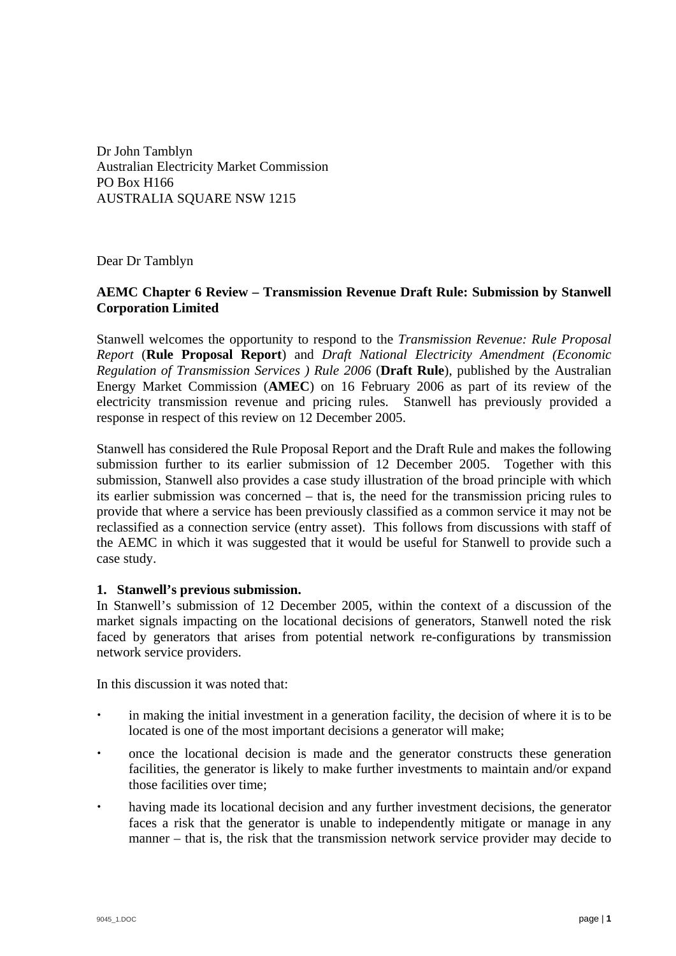Dr John Tamblyn Australian Electricity Market Commission PO Box H166 AUSTRALIA SQUARE NSW 1215

Dear Dr Tamblyn

# **AEMC Chapter 6 Review – Transmission Revenue Draft Rule: Submission by Stanwell Corporation Limited**

Stanwell welcomes the opportunity to respond to the *Transmission Revenue: Rule Proposal Report* (**Rule Proposal Report**) and *Draft National Electricity Amendment (Economic Regulation of Transmission Services ) Rule 2006* (**Draft Rule**), published by the Australian Energy Market Commission (**AMEC**) on 16 February 2006 as part of its review of the electricity transmission revenue and pricing rules. Stanwell has previously provided a response in respect of this review on 12 December 2005.

Stanwell has considered the Rule Proposal Report and the Draft Rule and makes the following submission further to its earlier submission of 12 December 2005. Together with this submission, Stanwell also provides a case study illustration of the broad principle with which its earlier submission was concerned – that is, the need for the transmission pricing rules to provide that where a service has been previously classified as a common service it may not be reclassified as a connection service (entry asset). This follows from discussions with staff of the AEMC in which it was suggested that it would be useful for Stanwell to provide such a case study.

## **1. Stanwell's previous submission.**

In Stanwell's submission of 12 December 2005, within the context of a discussion of the market signals impacting on the locational decisions of generators, Stanwell noted the risk faced by generators that arises from potential network re-configurations by transmission network service providers.

In this discussion it was noted that:

- in making the initial investment in a generation facility, the decision of where it is to be located is one of the most important decisions a generator will make;
- the state once the locational decision is made and the generator constructs these generation facilities, the generator is likely to make further investments to maintain and/or expand those facilities over time;
- having made its locational decision and any further investment decisions, the generator faces a risk that the generator is unable to independently mitigate or manage in any manner – that is, the risk that the transmission network service provider may decide to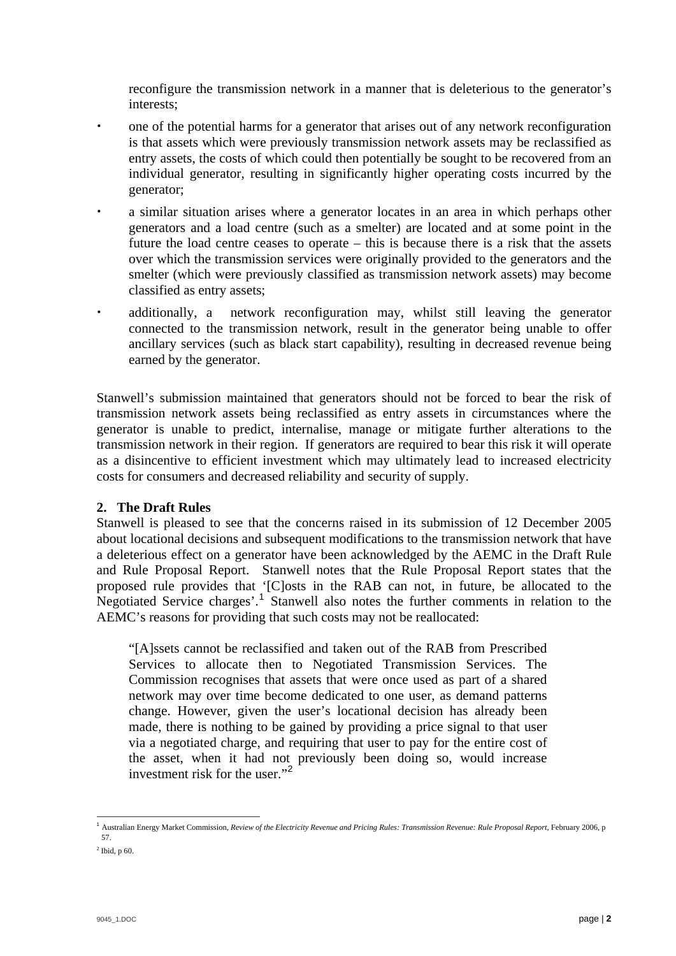reconfigure the transmission network in a manner that is deleterious to the generator's interests;

- ightharms for a generator that arises out of any network reconfiguration that arises out of any network reconfiguration is that assets which were previously transmission network assets may be reclassified as entry assets, the costs of which could then potentially be sought to be recovered from an individual generator, resulting in significantly higher operating costs incurred by the generator;
- ightarrow is a similar situation arises where a generator locates in an area in which perhaps other generators and a load centre (such as a smelter) are located and at some point in the future the load centre ceases to operate – this is because there is a risk that the assets over which the transmission services were originally provided to the generators and the smelter (which were previously classified as transmission network assets) may become classified as entry assets;
- additionally, a network reconfiguration may, whilst still leaving the generator connected to the transmission network, result in the generator being unable to offer ancillary services (such as black start capability), resulting in decreased revenue being earned by the generator.

Stanwell's submission maintained that generators should not be forced to bear the risk of transmission network assets being reclassified as entry assets in circumstances where the generator is unable to predict, internalise, manage or mitigate further alterations to the transmission network in their region. If generators are required to bear this risk it will operate as a disincentive to efficient investment which may ultimately lead to increased electricity costs for consumers and decreased reliability and security of supply.

# **2. The Draft Rules**

Stanwell is pleased to see that the concerns raised in its submission of 12 December 2005 about locational decisions and subsequent modifications to the transmission network that have a deleterious effect on a generator have been acknowledged by the AEMC in the Draft Rule and Rule Proposal Report. Stanwell notes that the Rule Proposal Report states that the proposed rule provides that '[C]osts in the RAB can not, in future, be allocated to the Negotiated Service charges'.<sup>[1](#page-1-0)</sup> Stanwell also notes the further comments in relation to the AEMC's reasons for providing that such costs may not be reallocated:

"[A]ssets cannot be reclassified and taken out of the RAB from Prescribed Services to allocate then to Negotiated Transmission Services. The Commission recognises that assets that were once used as part of a shared network may over time become dedicated to one user, as demand patterns change. However, given the user's locational decision has already been made, there is nothing to be gained by providing a price signal to that user via a negotiated charge, and requiring that user to pay for the entire cost of the asset, when it had not previously been doing so, would increase investment risk for the user."[2](#page-1-1)

 $\overline{a}$ 

<span id="page-1-0"></span><sup>&</sup>lt;sup>1</sup> Australian Energy Market Commission, *Review of the Electricity Revenue and Pricing Rules: Transmission Revenue: Rule Proposal Report, February 2006, p* 57.

<span id="page-1-1"></span> $<sup>2</sup>$  Ibid, p 60.</sup>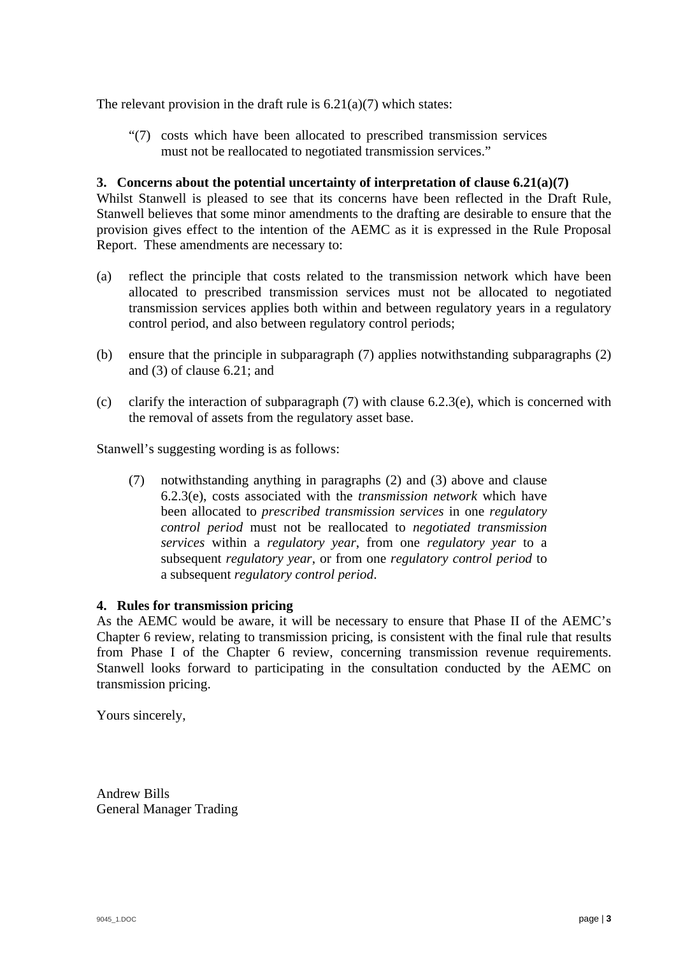The relevant provision in the draft rule is  $6.21(a)(7)$  which states:

"(7) costs which have been allocated to prescribed transmission services must not be reallocated to negotiated transmission services."

## **3. Concerns about the potential uncertainty of interpretation of clause 6.21(a)(7)**

Whilst Stanwell is pleased to see that its concerns have been reflected in the Draft Rule, Stanwell believes that some minor amendments to the drafting are desirable to ensure that the provision gives effect to the intention of the AEMC as it is expressed in the Rule Proposal Report. These amendments are necessary to:

- (a) reflect the principle that costs related to the transmission network which have been allocated to prescribed transmission services must not be allocated to negotiated transmission services applies both within and between regulatory years in a regulatory control period, and also between regulatory control periods;
- (b) ensure that the principle in subparagraph (7) applies notwithstanding subparagraphs (2) and (3) of clause 6.21; and
- (c) clarify the interaction of subparagraph  $(7)$  with clause 6.2.3(e), which is concerned with the removal of assets from the regulatory asset base.

Stanwell's suggesting wording is as follows:

(7) notwithstanding anything in paragraphs (2) and (3) above and clause 6.2.3(e), costs associated with the *transmission network* which have been allocated to *prescribed transmission services* in one *regulatory control period* must not be reallocated to *negotiated transmission services* within a *regulatory year*, from one *regulatory year* to a subsequent *regulatory year*, or from one *regulatory control period* to a subsequent *regulatory control period*.

## **4. Rules for transmission pricing**

As the AEMC would be aware, it will be necessary to ensure that Phase II of the AEMC's Chapter 6 review, relating to transmission pricing, is consistent with the final rule that results from Phase I of the Chapter 6 review, concerning transmission revenue requirements. Stanwell looks forward to participating in the consultation conducted by the AEMC on transmission pricing.

Yours sincerely,

Andrew Bills General Manager Trading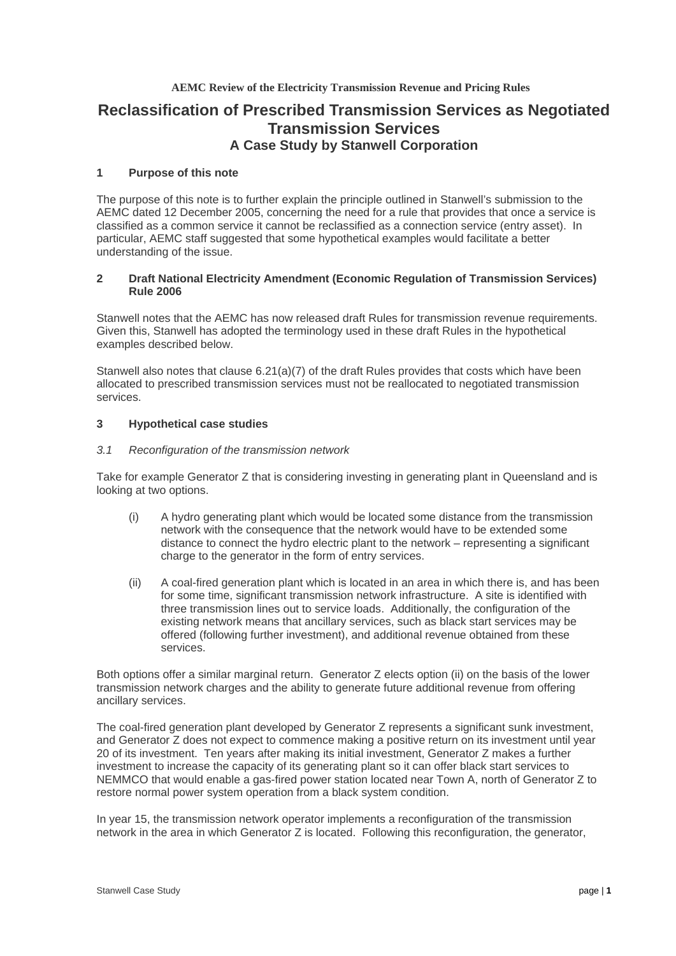**AEMC Review of the Electricity Transmission Revenue and Pricing Rules** 

# **Reclassification of Prescribed Transmission Services as Negotiated Transmission Services A Case Study by Stanwell Corporation**

## **1 Purpose of this note**

The purpose of this note is to further explain the principle outlined in Stanwell's submission to the AEMC dated 12 December 2005, concerning the need for a rule that provides that once a service is classified as a common service it cannot be reclassified as a connection service (entry asset). In particular, AEMC staff suggested that some hypothetical examples would facilitate a better understanding of the issue.

## **2 Draft National Electricity Amendment (Economic Regulation of Transmission Services) Rule 2006**

Stanwell notes that the AEMC has now released draft Rules for transmission revenue requirements. Given this, Stanwell has adopted the terminology used in these draft Rules in the hypothetical examples described below.

Stanwell also notes that clause 6.21(a)(7) of the draft Rules provides that costs which have been allocated to prescribed transmission services must not be reallocated to negotiated transmission services.

## **3 Hypothetical case studies**

#### *3.1 Reconfiguration of the transmission network*

Take for example Generator Z that is considering investing in generating plant in Queensland and is looking at two options.

- (i) A hydro generating plant which would be located some distance from the transmission network with the consequence that the network would have to be extended some distance to connect the hydro electric plant to the network – representing a significant charge to the generator in the form of entry services.
- (ii) A coal-fired generation plant which is located in an area in which there is, and has been for some time, significant transmission network infrastructure. A site is identified with three transmission lines out to service loads. Additionally, the configuration of the existing network means that ancillary services, such as black start services may be offered (following further investment), and additional revenue obtained from these services.

Both options offer a similar marginal return. Generator Z elects option (ii) on the basis of the lower transmission network charges and the ability to generate future additional revenue from offering ancillary services.

The coal-fired generation plant developed by Generator Z represents a significant sunk investment, and Generator Z does not expect to commence making a positive return on its investment until year 20 of its investment. Ten years after making its initial investment, Generator Z makes a further investment to increase the capacity of its generating plant so it can offer black start services to NEMMCO that would enable a gas-fired power station located near Town A, north of Generator Z to restore normal power system operation from a black system condition.

In year 15, the transmission network operator implements a reconfiguration of the transmission network in the area in which Generator Z is located. Following this reconfiguration, the generator,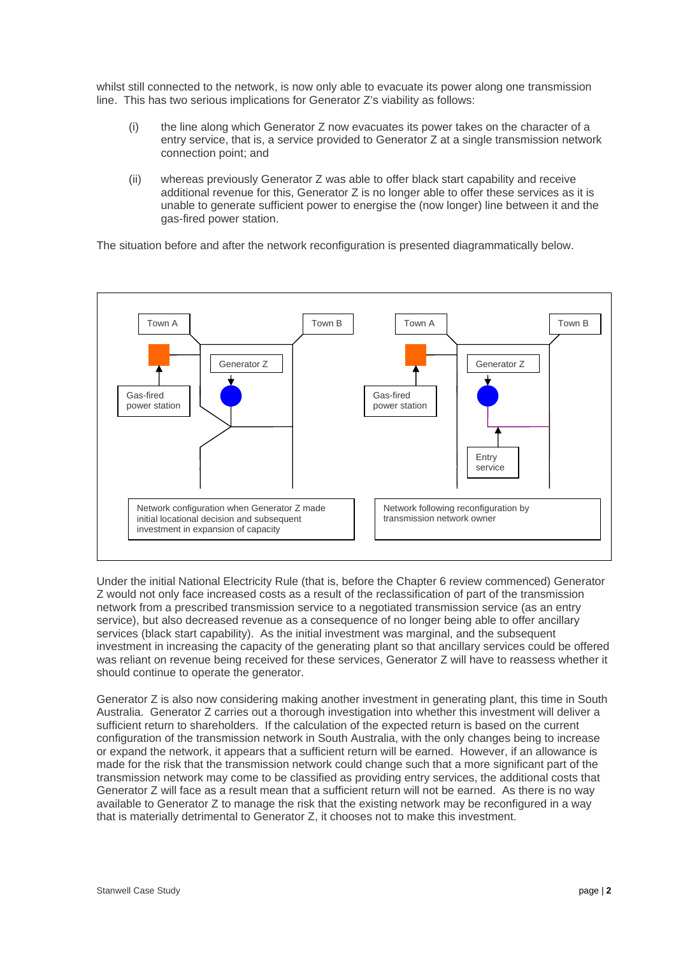whilst still connected to the network, is now only able to evacuate its power along one transmission line. This has two serious implications for Generator Z's viability as follows:

- (i) the line along which Generator Z now evacuates its power takes on the character of a entry service, that is, a service provided to Generator Z at a single transmission network connection point; and
- (ii) whereas previously Generator Z was able to offer black start capability and receive additional revenue for this, Generator Z is no longer able to offer these services as it is unable to generate sufficient power to energise the (now longer) line between it and the gas-fired power station.

The situation before and after the network reconfiguration is presented diagrammatically below.



Under the initial National Electricity Rule (that is, before the Chapter 6 review commenced) Generator Z would not only face increased costs as a result of the reclassification of part of the transmission network from a prescribed transmission service to a negotiated transmission service (as an entry service), but also decreased revenue as a consequence of no longer being able to offer ancillary services (black start capability). As the initial investment was marginal, and the subsequent investment in increasing the capacity of the generating plant so that ancillary services could be offered was reliant on revenue being received for these services, Generator Z will have to reassess whether it should continue to operate the generator.

Generator Z is also now considering making another investment in generating plant, this time in South Australia. Generator Z carries out a thorough investigation into whether this investment will deliver a sufficient return to shareholders. If the calculation of the expected return is based on the current configuration of the transmission network in South Australia, with the only changes being to increase or expand the network, it appears that a sufficient return will be earned. However, if an allowance is made for the risk that the transmission network could change such that a more significant part of the transmission network may come to be classified as providing entry services, the additional costs that Generator Z will face as a result mean that a sufficient return will not be earned. As there is no way available to Generator Z to manage the risk that the existing network may be reconfigured in a way that is materially detrimental to Generator Z, it chooses not to make this investment.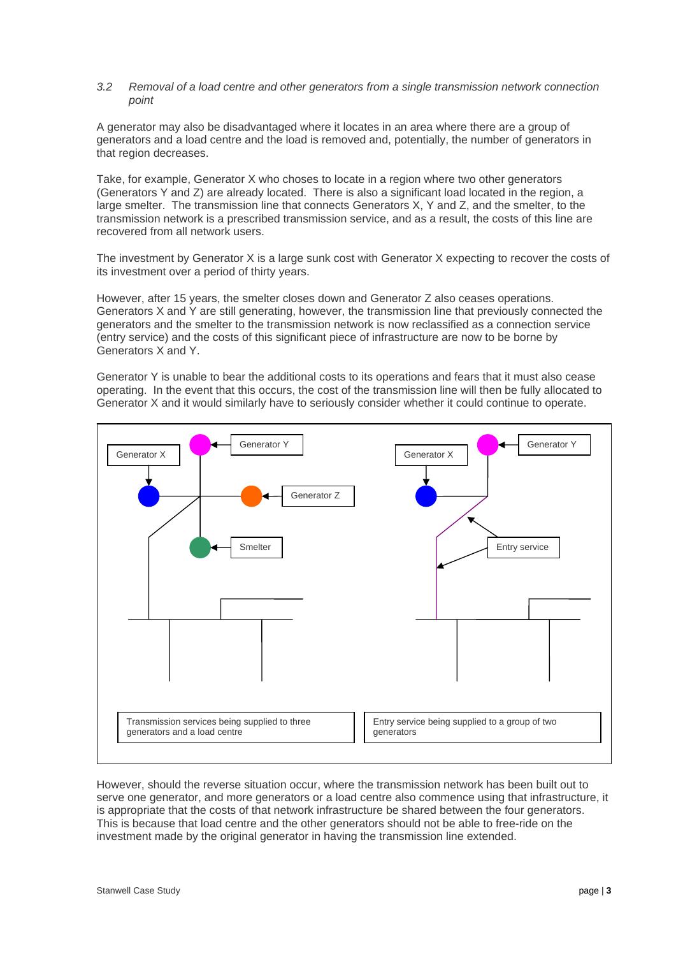#### *3.2 Removal of a load centre and other generators from a single transmission network connection point*

A generator may also be disadvantaged where it locates in an area where there are a group of generators and a load centre and the load is removed and, potentially, the number of generators in that region decreases.

Take, for example, Generator X who choses to locate in a region where two other generators (Generators Y and Z) are already located. There is also a significant load located in the region, a large smelter. The transmission line that connects Generators X, Y and Z, and the smelter, to the transmission network is a prescribed transmission service, and as a result, the costs of this line are recovered from all network users.

The investment by Generator X is a large sunk cost with Generator X expecting to recover the costs of its investment over a period of thirty years.

However, after 15 years, the smelter closes down and Generator Z also ceases operations. Generators X and Y are still generating, however, the transmission line that previously connected the generators and the smelter to the transmission network is now reclassified as a connection service (entry service) and the costs of this significant piece of infrastructure are now to be borne by Generators X and Y.

Generator Y is unable to bear the additional costs to its operations and fears that it must also cease operating. In the event that this occurs, the cost of the transmission line will then be fully allocated to Generator X and it would similarly have to seriously consider whether it could continue to operate.



However, should the reverse situation occur, where the transmission network has been built out to serve one generator, and more generators or a load centre also commence using that infrastructure, it is appropriate that the costs of that network infrastructure be shared between the four generators. This is because that load centre and the other generators should not be able to free-ride on the investment made by the original generator in having the transmission line extended.